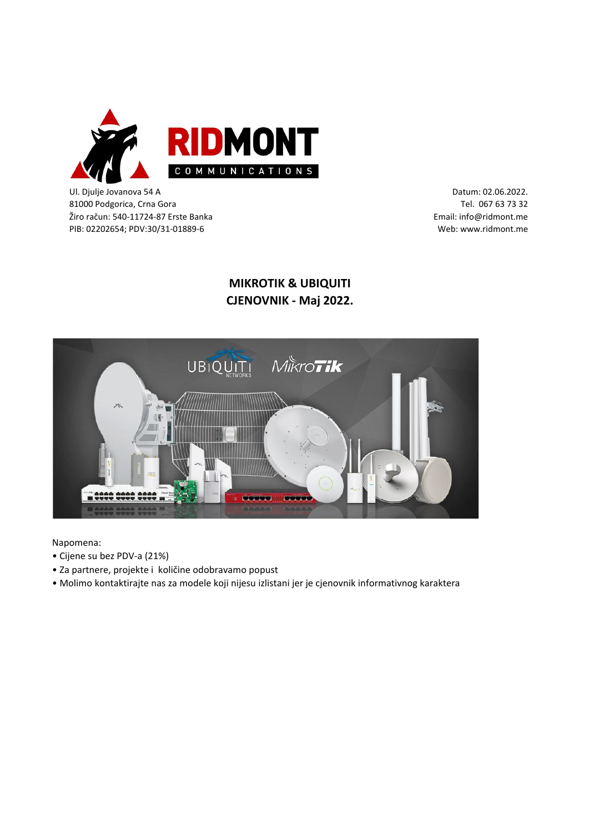

Ul. Djulje Jovanova 54 A 81000 Podgorica, Crna Gora Žiro račun: 540-11724-87 Erste Banka PIB: 02202654; PDV:30/31-01889-6

Datum: 02.06.2022. Tel. 067 63 73 32 Email: info@ridmont.me Web: www.ridmont.me

## **MIKROTIK & UBIQUITI CJENOVNIK - Maj 2022.**



## Napomena:

- Cijene su bez PDV-a (21%)
- Za partnere, projekte i količine odobravamo popust
- Molimo kontaktirajte nas za modele koji nijesu izlistani jer je cjenovnik informativnog karaktera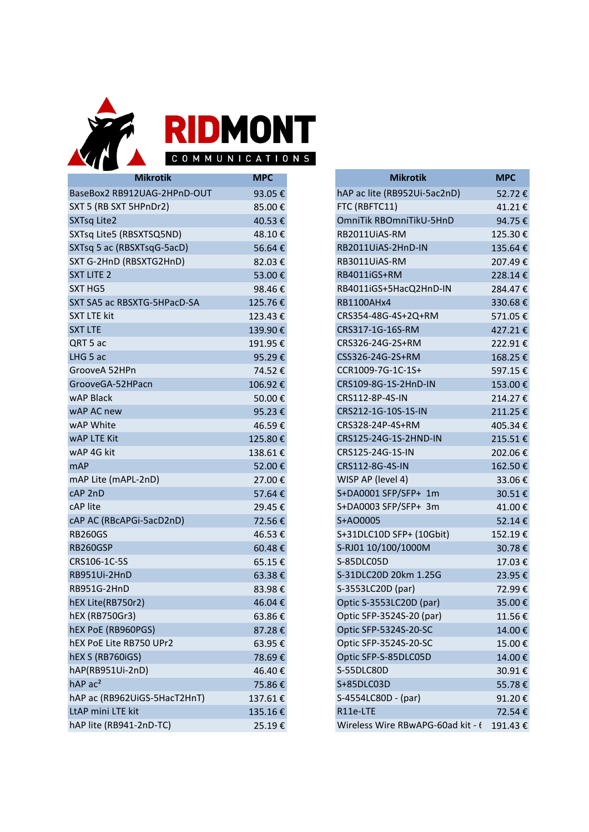

COMMUNICATIONS

| <b>Mikrotik</b>              | <b>MPC</b> | <b>Mikrotik</b>          |
|------------------------------|------------|--------------------------|
| BaseBox2 RB912UAG-2HPnD-OUT  | 93.05€     | hAP ac lite (RB952Ui-5ac |
| SXT 5 (RB SXT 5HPnDr2)       | 85.00€     | FTC (RBFTC11)            |
| <b>SXTsq Lite2</b>           | 40.53€     | OmniTik RBOmniTikU-5H    |
| SXTsq Lite5 (RBSXTSQ5ND)     | 48.10€     | RB2011UiAS-RM            |
| SXTsq 5 ac (RBSXTsqG-5acD)   | 56.64€     | RB2011UiAS-2HnD-IN       |
| SXT G-2HnD (RBSXTG2HnD)      | 82.03€     | RB3011UiAS-RM            |
| <b>SXT LITE 2</b>            | 53.00€     | RB4011iGS+RM             |
| SXT HG5                      | 98.46€     | RB4011iGS+5HacQ2HnD-     |
| SXT SA5 ac RBSXTG-5HPacD-SA  | 125.76€    | RB1100AHx4               |
| <b>SXT LTE kit</b>           | 123.43€    | CRS354-48G-4S+2Q+RM      |
| <b>SXT LTE</b>               | 139.90€    | CRS317-1G-16S-RM         |
| QRT 5 ac                     | 191.95€    | CRS326-24G-2S+RM         |
| LHG 5 ac                     | 95.29€     | CSS326-24G-2S+RM         |
| GrooveA 52HPn                | 74.52€     | CCR1009-7G-1C-1S+        |
| GrooveGA-52HPacn             | 106.92€    | CRS109-8G-1S-2HnD-IN     |
| wAP Black                    | 50.00€     | CRS112-8P-4S-IN          |
| wAP AC new                   | 95.23€     | CRS212-1G-10S-1S-IN      |
| wAP White                    | 46.59€     | CRS328-24P-4S+RM         |
| <b>WAP LTE Kit</b>           | 125.80€    | CRS125-24G-1S-2HND-IN    |
| wAP 4G kit                   | 138.61€    | CRS125-24G-1S-IN         |
| <b>mAP</b>                   | 52.00€     | CRS112-8G-4S-IN          |
| mAP Lite (mAPL-2nD)          | 27.00€     | WISP AP (level 4)        |
| cAP 2nD                      | 57.64€     | S+DA0001 SFP/SFP+ 1m     |
| cAP lite                     | 29.45€     | S+DA0003 SFP/SFP+ 3m     |
| cAP AC (RBcAPGi-5acD2nD)     | 72.56€     | S+AO0005                 |
| <b>RB260GS</b>               | 46.53€     | S+31DLC10D SFP+ (10Gb    |
| RB260GSP                     | 60.48 €    | S-RJ01 10/100/1000M      |
| CRS106-1C-5S                 | 65.15€     | S-85DLC05D               |
| RB951Ui-2HnD                 | 63.38 €    | S-31DLC20D 20km 1.25G    |
| RB951G-2HnD                  | 83.98€     | S-3553LC20D (par)        |
| hEX Lite(RB750r2)            | 46.04€     | Optic S-3553LC20D (par)  |
| hEX (RB750Gr3)               | 63.86€     | Optic SFP-3524S-20 (par) |
| hEX PoE (RB960PGS)           | 87.28€     | Optic SFP-5324S-20-SC    |
| hEX PoE Lite RB750 UPr2      | 63.95€     | Optic SFP-3524S-20-SC    |
| hEX S (RB760iGS)             | 78.69€     | Optic SFP-S-85DLC05D     |
| hAP(RB951Ui-2nD)             | 46.40€     | S-55DLC80D               |
| hAP ac <sup>2</sup>          | 75.86€     | S+85DLC03D               |
| hAP ac (RB962UiGS-5HacT2HnT) | 137.61€    | S-4554LC80D - (par)      |
| LtAP mini LTE kit            | 135.16€    | R11e-LTE                 |
| hAP lite (RB941-2nD-TC)      | 25.19€     | Wireless Wire RBwAPG-6   |

| <b>MPC</b> | <b>Mikrotik</b>                   | <b>MPC</b> |
|------------|-----------------------------------|------------|
| 93.05€     | hAP ac lite (RB952Ui-5ac2nD)      | 52.72€     |
| 85.00€     | FTC (RBFTC11)                     | 41.21€     |
| 40.53€     | OmniTik RBOmniTikU-5HnD           | 94.75€     |
| 48.10€     | RB2011UiAS-RM                     | 125.30€    |
| 56.64€     | RB2011UiAS-2HnD-IN                | 135.64€    |
| 82.03€     | RB3011UiAS-RM                     | 207.49€    |
| 53.00€     | RB4011iGS+RM                      | 228.14€    |
| 98.46€     | RB4011iGS+5HacQ2HnD-IN            | 284.47€    |
| 125.76€    | RB1100AHx4                        | 330.68€    |
| 123.43€    | CRS354-48G-4S+2Q+RM               | 571.05€    |
| 139.90€    | CRS317-1G-16S-RM                  | 427.21€    |
| 191.95€    | CRS326-24G-2S+RM                  | 222.91€    |
| 95.29€     | CSS326-24G-2S+RM                  | 168.25€    |
| 74.52€     | CCR1009-7G-1C-1S+                 | 597.15€    |
| 106.92€    | CRS109-8G-1S-2HnD-IN              | 153.00€    |
| 50.00€     | CRS112-8P-4S-IN                   | 214.27€    |
| 95.23€     | CRS212-1G-10S-1S-IN               | 211.25€    |
| 46.59€     | CRS328-24P-4S+RM                  | 405.34€    |
| 125.80€    | CRS125-24G-1S-2HND-IN             | 215.51€    |
| 138.61€    | CRS125-24G-1S-IN                  | 202.06€    |
| 52.00€     | CRS112-8G-4S-IN                   | 162.50€    |
| 27.00€     | WISP AP (level 4)                 | 33.06€     |
| 57.64€     | S+DA0001 SFP/SFP+ 1m              | 30.51€     |
| 29.45€     | S+DA0003 SFP/SFP+ 3m              | 41.00€     |
| 72.56€     | S+AO0005                          | 52.14€     |
| 46.53€     | S+31DLC10D SFP+ (10Gbit)          | 152.19€    |
| 60.48€     | S-RJ01 10/100/1000M               | 30.78€     |
| 65.15€     | S-85DLC05D                        | 17.03€     |
| 63.38€     | S-31DLC20D 20km 1.25G             | 23.95€     |
| 83.98€     | S-3553LC20D (par)                 | 72.99€     |
| 46.04€     | Optic S-3553LC20D (par)           | 35.00€     |
| 63.86€     | Optic SFP-3524S-20 (par)          | 11.56€     |
| 87.28€     | Optic SFP-5324S-20-SC             | 14.00€     |
| 63.95€     | Optic SFP-3524S-20-SC             | 15.00€     |
| 78.69€     | Optic SFP-S-85DLC05D              | 14.00€     |
| 46.40€     | S-55DLC80D                        | 30.91€     |
| 75.86€     | S+85DLC03D                        | 55.78€     |
| 137.61€    | S-4554LC80D - (par)               | 91.20€     |
| 135.16€    | R11e-LTE                          | 72.54€     |
| 25.19€     | Wireless Wire RBwAPG-60ad kit - t | 191.43€    |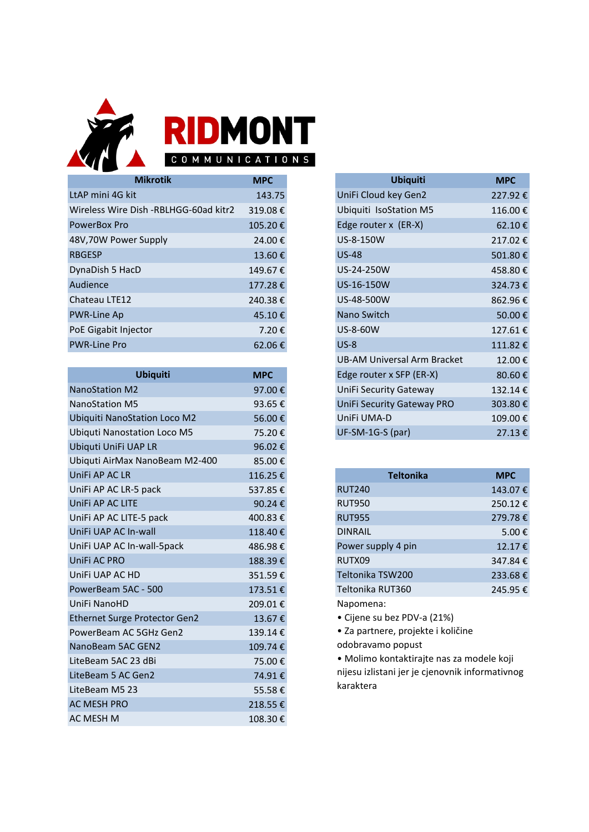

| <b>Mikrotik</b>                       | <b>MPC</b> |
|---------------------------------------|------------|
| LtAP mini 4G kit                      | 143.75     |
| Wireless Wire Dish -RBLHGG-60ad kitr2 | 319.08€    |
| PowerBox Pro                          | 105.20€    |
| 48V,70W Power Supply                  | 24.00€     |
| <b>RBGESP</b>                         | 13.60€     |
| DynaDish 5 HacD                       | 149.67€    |
| Audience                              | 177.28€    |
| Chateau LTE12                         | 240.38€    |
| PWR-Line Ap                           | 45.10€     |
| PoE Gigabit Injector                  | 7.20€      |
| <b>PWR-Line Pro</b>                   | 62.06€     |
|                                       |            |

| <b>Ubiquiti</b>                      | <b>MPC</b> |
|--------------------------------------|------------|
| <b>NanoStation M2</b>                | 97.00€     |
| <b>NanoStation M5</b>                | 93.65€     |
| <b>Ubiquiti NanoStation Loco M2</b>  | 56.00€     |
| <b>Ubiquti Nanostation Loco M5</b>   | 75.20€     |
| Ubiquti UniFi UAP LR                 | 96.02€     |
| Ubiquti AirMax NanoBeam M2-400       | 85.00€     |
| UniFi AP AC LR                       | 116.25€    |
| UniFi AP AC LR-5 pack                | 537.85€    |
| UniFi AP AC LITE                     | 90.24€     |
| UniFi AP AC LITE-5 pack              | 400.83€    |
| UniFi UAP AC In-wall                 | 118.40€    |
| UniFi UAP AC In-wall-5pack           | 486.98€    |
| UniFi AC PRO                         | 188.39€    |
| UniFi UAP AC HD                      | 351.59€    |
| PowerBeam 5AC - 500                  | 173.51€    |
| UniFi NanoHD                         | 209.01€    |
| <b>Ethernet Surge Protector Gen2</b> | 13.67€     |
| PowerBeam AC 5GHz Gen2               | 139.14€    |
| NanoBeam 5AC GEN2                    | 109.74€    |
| LiteBeam 5AC 23 dBi                  | 75.00€     |
| LiteBeam 5 AC Gen2                   | 74.91€     |
| LiteBeam M5 23                       | 55.58€     |
| <b>AC MESH PRO</b>                   | 218.55€    |
| AC MESH M                            | 108.30€    |

| <b>MPC</b> | <b>Ubiquiti</b>             | <b>MPC</b> |
|------------|-----------------------------|------------|
| 143.75     | UniFi Cloud key Gen2        | 227.92€    |
| 319.08€    | Ubiquiti IsoStation M5      | 116.00€    |
| 105.20€    | Edge router x (ER-X)        | 62.10 €    |
| 24.00€     | US-8-150W                   | 217.02€    |
| 13.60€     | <b>US-48</b>                | 501.80€    |
| 149.67€    | US-24-250W                  | 458.80€    |
| 177.28€    | US-16-150W                  | 324.73€    |
| 240.38€    | US-48-500W                  | 862.96€    |
| 45.10€     | Nano Switch                 | 50.00€     |
| 7.20€      | US-8-60W                    | 127.61€    |
| 62.06€     | $US-8$                      | 111.82€    |
|            | UB-AM Universal Arm Bracket | 12.00€     |
| <b>MPC</b> | Edge router x SFP (ER-X)    | 80.60€     |
| 97.00€     | UniFi Security Gateway      | 132.14€    |
| 93.65€     | UniFi Security Gateway PRO  | 303.80€    |
| 56.00€     | UniFi UMA-D                 | 109.00€    |
| 75.20€     | UF-SM-1G-S (par)            | 27.13€     |

| 116.25€  | <b>Teltonika</b>   | <b>MPC</b> |
|----------|--------------------|------------|
| 537.85€  | <b>RUT240</b>      | 143.07€    |
| 90.24€   | <b>RUT950</b>      | 250.12€    |
| 400.83 € | <b>RUT955</b>      | 279.78€    |
| 118.40€  | <b>DINRAIL</b>     | 5.00€      |
| 486.98€  | Power supply 4 pin | 12.17€     |
| 188.39€  | RUTX09             | 347.84€    |
| 351.59€  | Teltonika TSW200   | 233.68€    |
| 173.51€  | Teltonika RUT360   | 245.95€    |
| 209.01€  | Napomena:          |            |

• Cijene su bez PDV-a (21%)

• Za partnere, projekte i količine odobravamo popust

• Molimo kontaktirajte nas za modele koji nijesu izlistani jer je cjenovnik informativnog karaktera